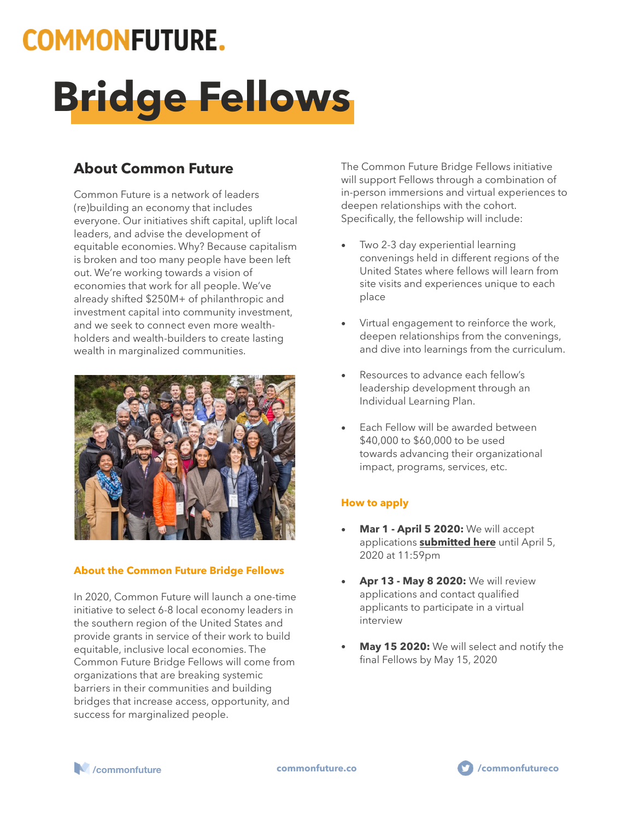# **COMMONFUTURE.**

# **Bridge Fellows**

## **About Common Future**

Common Future is a network of leaders (re)building an economy that includes everyone. Our initiatives shift capital, uplift local leaders, and advise the development of equitable economies. Why? Because capitalism is broken and too many people have been left out. We're working towards a vision of economies that work for all people. We've already shifted \$250M+ of philanthropic and investment capital into community investment, and we seek to connect even more wealthholders and wealth-builders to create lasting wealth in marginalized communities.



### **About the Common Future Bridge Fellows**

In 2020, Common Future will launch a one-time initiative to select 6-8 local economy leaders in the southern region of the United States and provide grants in service of their work to build equitable, inclusive local economies. The Common Future Bridge Fellows will come from organizations that are breaking systemic barriers in their communities and building bridges that increase access, opportunity, and success for marginalized people.

The Common Future Bridge Fellows initiative will support Fellows through a combination of in-person immersions and virtual experiences to deepen relationships with the cohort. Specifically, the fellowship will include:

- Two 2-3 day experiential learning convenings held in different regions of the United States where fellows will learn from site visits and experiences unique to each place
- Virtual engagement to reinforce the work, deepen relationships from the convenings, and dive into learnings from the curriculum.
- Resources to advance each fellow's leadership development through an Individual Learning Plan.
- Each Fellow will be awarded between \$40,000 to \$60,000 to be used towards advancing their organizational impact, programs, services, etc.

### **How to apply**

- **Mar 1 April 5 2020:** We will accept applications **[submitted here](https://www.surveygizmo.com/s3/5484783/Bridge-Fellows)** until April 5, 2020 at 11:59pm
- **Apr 13 May 8 2020:** We will review applications and contact qualified applicants to participate in a virtual interview
- **May 15 2020:** We will select and notify the final Fellows by May 15, 2020



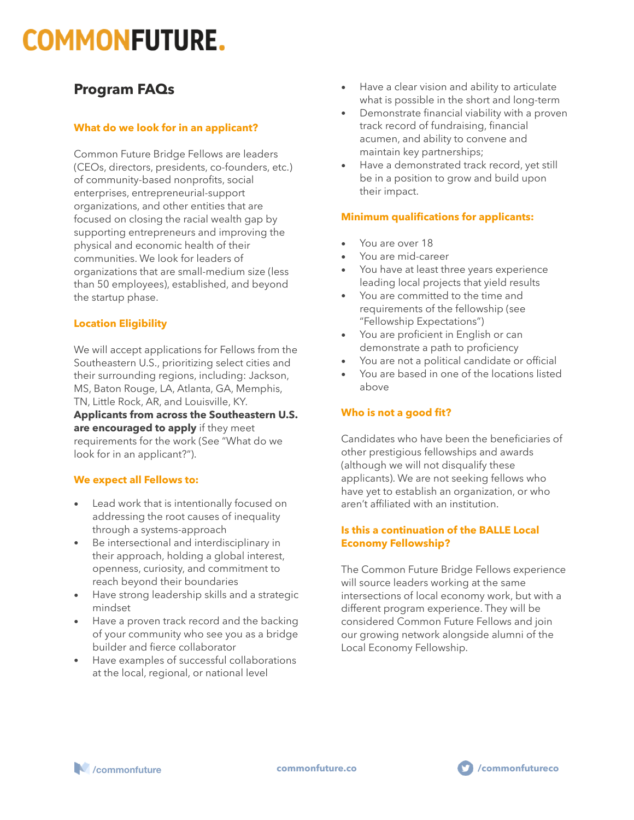# **COMMONFUTURE.**

### **Program FAQs**

### **What do we look for in an applicant?**

Common Future Bridge Fellows are leaders (CEOs, directors, presidents, co-founders, etc.) of community-based nonprofits, social enterprises, entrepreneurial-support organizations, and other entities that are focused on closing the racial wealth gap by supporting entrepreneurs and improving the physical and economic health of their communities. We look for leaders of organizations that are small-medium size (less than 50 employees), established, and beyond the startup phase.

### **Location Eligibility**

We will accept applications for Fellows from the Southeastern U.S., prioritizing select cities and their surrounding regions, including: Jackson, MS, Baton Rouge, LA, Atlanta, GA, Memphis, TN, Little Rock, AR, and Louisville, KY. **Applicants from across the Southeastern U.S. are encouraged to apply** if they meet requirements for the work (See "What do we look for in an applicant?").

### **We expect all Fellows to:**

- Lead work that is intentionally focused on addressing the root causes of inequality through a systems-approach
- Be intersectional and interdisciplinary in their approach, holding a global interest, openness, curiosity, and commitment to reach beyond their boundaries
- Have strong leadership skills and a strategic mindset
- Have a proven track record and the backing of your community who see you as a bridge builder and fierce collaborator
- Have examples of successful collaborations at the local, regional, or national level
- Have a clear vision and ability to articulate what is possible in the short and long-term
- Demonstrate financial viability with a proven track record of fundraising, financial acumen, and ability to convene and maintain key partnerships;
- Have a demonstrated track record, yet still be in a position to grow and build upon their impact.

### **Minimum qualifications for applicants:**

- You are over 18
- You are mid-career
- You have at least three years experience leading local projects that yield results
- You are committed to the time and requirements of the fellowship (see "Fellowship Expectations")
- You are proficient in English or can demonstrate a path to proficiency
- You are not a political candidate or official
- You are based in one of the locations listed above

### **Who is not a good fit?**

Candidates who have been the beneficiaries of other prestigious fellowships and awards (although we will not disqualify these applicants). We are not seeking fellows who have yet to establish an organization, or who aren't affiliated with an institution.

### **Is this a continuation of the BALLE Local Economy Fellowship?**

The Common Future Bridge Fellows experience will source leaders working at the same intersections of local economy work, but with a different program experience. They will be considered Common Future Fellows and join our growing network alongside alumni of the Local Economy Fellowship.